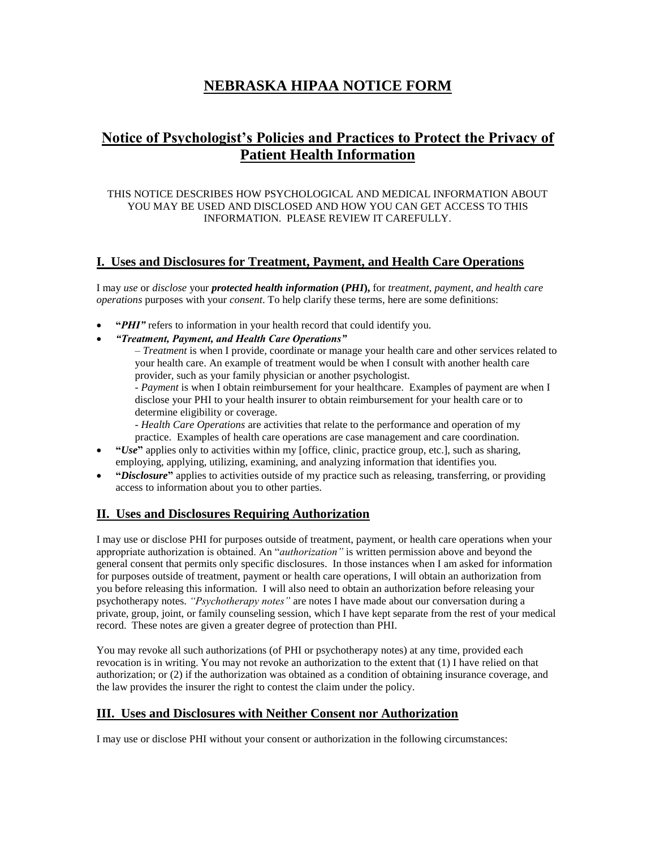# **NEBRASKA HIPAA NOTICE FORM**

## **Notice of Psychologist's Policies and Practices to Protect the Privacy of Patient Health Information**

THIS NOTICE DESCRIBES HOW PSYCHOLOGICAL AND MEDICAL INFORMATION ABOUT YOU MAY BE USED AND DISCLOSED AND HOW YOU CAN GET ACCESS TO THIS INFORMATION. PLEASE REVIEW IT CAREFULLY.

### **I. Uses and Disclosures for Treatment, Payment, and Health Care Operations**

I may *use* or *disclose* your *protected health information* **(***PHI***),** for *treatment, payment, and health care operations* purposes with your *consent*. To help clarify these terms, here are some definitions:

- **"***PHI"* refers to information in your health record that could identify you.
- *"Treatment, Payment, and Health Care Operations"*

– *Treatment* is when I provide, coordinate or manage your health care and other services related to your health care. An example of treatment would be when I consult with another health care provider, such as your family physician or another psychologist.

- *Payment* is when I obtain reimbursement for your healthcare. Examples of payment are when I disclose your PHI to your health insurer to obtain reimbursement for your health care or to determine eligibility or coverage.

- *Health Care Operations* are activities that relate to the performance and operation of my practice. Examples of health care operations are case management and care coordination.

- **"***Use***"** applies only to activities within my [office, clinic, practice group, etc.], such as sharing, employing, applying, utilizing, examining, and analyzing information that identifies you.
- **"***Disclosure***"** applies to activities outside of my practice such as releasing, transferring, or providing access to information about you to other parties.

### **II. Uses and Disclosures Requiring Authorization**

I may use or disclose PHI for purposes outside of treatment, payment, or health care operations when your appropriate authorization is obtained. An "*authorization"* is written permission above and beyond the general consent that permits only specific disclosures. In those instances when I am asked for information for purposes outside of treatment, payment or health care operations, I will obtain an authorization from you before releasing this information. I will also need to obtain an authorization before releasing your psychotherapy notes. *"Psychotherapy notes"* are notes I have made about our conversation during a private, group, joint, or family counseling session, which I have kept separate from the rest of your medical record. These notes are given a greater degree of protection than PHI.

You may revoke all such authorizations (of PHI or psychotherapy notes) at any time, provided each revocation is in writing. You may not revoke an authorization to the extent that (1) I have relied on that authorization; or (2) if the authorization was obtained as a condition of obtaining insurance coverage, and the law provides the insurer the right to contest the claim under the policy.

### **III. Uses and Disclosures with Neither Consent nor Authorization**

I may use or disclose PHI without your consent or authorization in the following circumstances: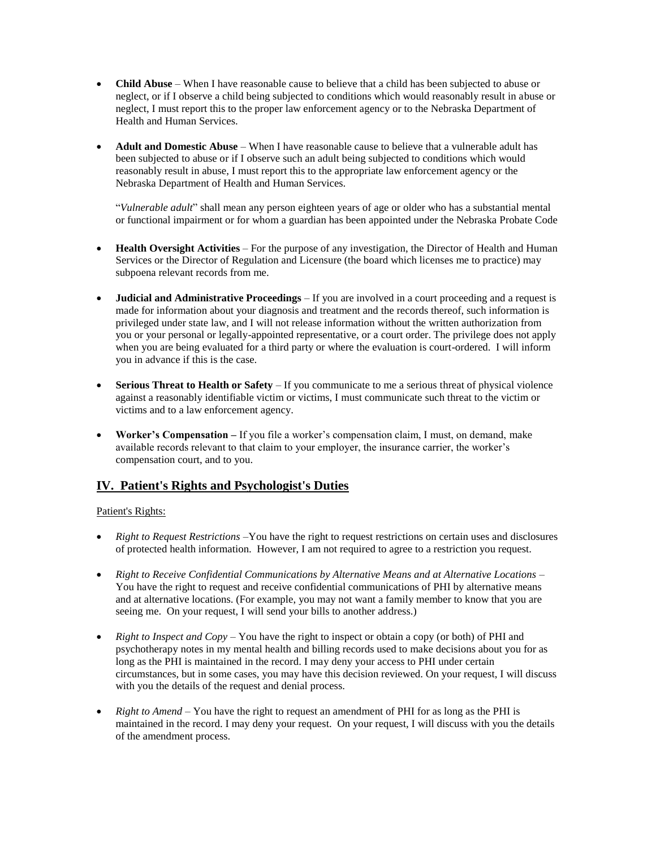- **Child Abuse** When I have reasonable cause to believe that a child has been subjected to abuse or neglect, or if I observe a child being subjected to conditions which would reasonably result in abuse or neglect, I must report this to the proper law enforcement agency or to the Nebraska Department of Health and Human Services.
- **Adult and Domestic Abuse** When I have reasonable cause to believe that a vulnerable adult has been subjected to abuse or if I observe such an adult being subjected to conditions which would reasonably result in abuse, I must report this to the appropriate law enforcement agency or the Nebraska Department of Health and Human Services.

"*Vulnerable adult*" shall mean any person eighteen years of age or older who has a substantial mental or functional impairment or for whom a guardian has been appointed under the Nebraska Probate Code

- **Health Oversight Activities** For the purpose of any investigation, the Director of Health and Human Services or the Director of Regulation and Licensure (the board which licenses me to practice) may subpoena relevant records from me.
- **Judicial and Administrative Proceedings** If you are involved in a court proceeding and a request is made for information about your diagnosis and treatment and the records thereof, such information is privileged under state law, and I will not release information without the written authorization from you or your personal or legally-appointed representative, or a court order. The privilege does not apply when you are being evaluated for a third party or where the evaluation is court-ordered. I will inform you in advance if this is the case.
- **Serious Threat to Health or Safety If you communicate to me a serious threat of physical violence** against a reasonably identifiable victim or victims, I must communicate such threat to the victim or victims and to a law enforcement agency.
- **Worker's Compensation –** If you file a worker's compensation claim, I must, on demand, make available records relevant to that claim to your employer, the insurance carrier, the worker's compensation court, and to you.

### **IV. Patient's Rights and Psychologist's Duties**

#### Patient's Rights:

- *Right to Request Restrictions* –You have the right to request restrictions on certain uses and disclosures of protected health information. However, I am not required to agree to a restriction you request.
- *Right to Receive Confidential Communications by Alternative Means and at Alternative Locations*  You have the right to request and receive confidential communications of PHI by alternative means and at alternative locations. (For example, you may not want a family member to know that you are seeing me. On your request, I will send your bills to another address.)
- *Right to Inspect and Copy*  You have the right to inspect or obtain a copy (or both) of PHI and psychotherapy notes in my mental health and billing records used to make decisions about you for as long as the PHI is maintained in the record. I may deny your access to PHI under certain circumstances, but in some cases, you may have this decision reviewed. On your request, I will discuss with you the details of the request and denial process.
- *Right to Amend* You have the right to request an amendment of PHI for as long as the PHI is maintained in the record. I may deny your request. On your request, I will discuss with you the details of the amendment process.